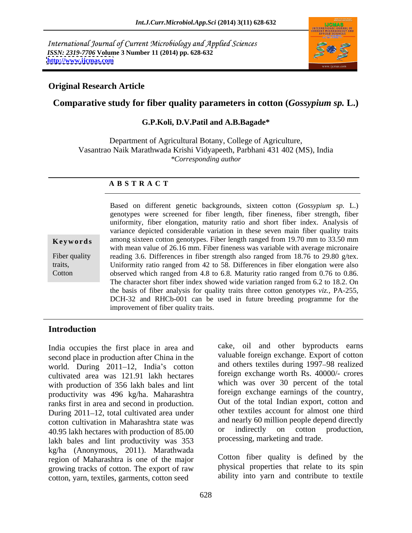International Journal of Current Microbiology and Applied Sciences *ISSN: 2319-7706* **Volume 3 Number 11 (2014) pp. 628-632 <http://www.ijcmas.com>**



## **Original Research Article**

# **Comparative study for fiber quality parameters in cotton (***Gossypium sp.* **L.)**

### **G.P.Koli, D.V.Patil and A.B.Bagade\***

Department of Agricultural Botany, College of Agriculture, Vasantrao Naik Marathwada Krishi Vidyapeeth, Parbhani 431 402 (MS), India *\*Corresponding author* 

### **A B S T R A C T**

**Keywords** among sixteen cotton genotypes. Fiber length ranged from 19.70 mm to 33.50 mm Fiber quality reading 3.6. Differences in fiber strength also ranged from 18.76 to 29.80 g/tex. traits, Uniformity ratio ranged from 42 to 58. Differences in fiber elongation were also Cotton between which ranged from 4.8 to 6.8. Maturity ratio ranged from 0.76 to 0.86. Based on different genetic backgrounds, sixteen cotton (*Gossypium sp.* L.) genotypes were screened for fiber length, fiber fineness, fiber strength, fiber uniformity, fiber elongation, maturity ratio and short fiber index. Analysis of variance depicted considerable variation in these seven main fiber quality traits with mean value of 26.16 mm. Fiber fineness was variable with average micronaire The character short fiber index showed wide variation ranged from 6.2 to 18.2. On the basis of fiber analysis for quality traits three cotton genotypes *viz.,* PA-255, DCH-32 and RHCb-001 can be used in future breeding programme for the improvement of fiber quality traits.

## **Introduction**

India occupies the first place in area and second place in production after China in the world. During 2011-12, India's cotton cultivated area was 121.91 lakh hectares with production of 356 lakh bales and lint productivity was 496 kg/ha. Maharashtra ranks first in area and second in production. During 2011–12, total cultivated area under cotton cultivation in Maharashtra state was and nearly 60 million people depend directly<br>40.95 lakh hectares with production of 85.00 or indirectly on cotton production, 40.95 lakh hectares with production of 85.00 lakh bales and lint productivity was 353 kg/ha (Anonymous, 2011). Marathwada region of Maharashtra is one of the major growing tracks of cotton. The export of raw cotton, yarn, textiles, garments, cotton seed

cake, oil and other byproducts earns valuable foreign exchange. Export of cotton and others textiles during 1997–98 realized foreign exchange worth Rs. 40000/- crores which was over 30 percent of the total foreign exchange earnings of the country, Out of the total Indian export, cotton and other textiles account for almost one third and nearly 60 million people depend directly or indirectly on cotton production, processing, marketing and trade.

Cotton fiber quality is defined by the physical properties that relate to its spin ability into yarn and contribute to textile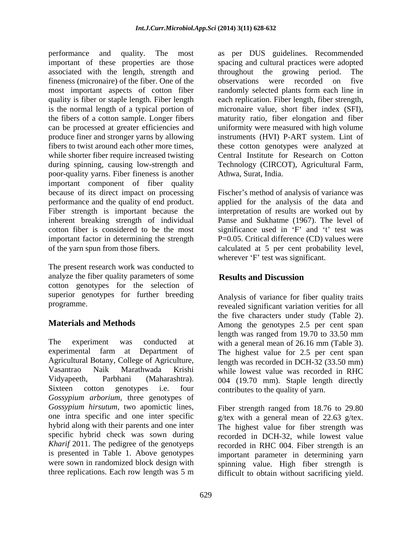associated with the length, strength and throughout the growing period. The fineness (micronaire) of the fiber. One of the observations were recorded on five during spinning, causing low-strength and poor-quality yarns. Fiber fineness is another important component of fiber quality because of its direct impact on processing Fischer's method of analysis of variance was performance and the quality of end product. applied for the analysis of the data and Fiber strength is important because the interpretation of results are worked out by inherent breaking strength of individual Panse and Sukhatme (1967). The level of cotton fiber is considered to be the most significance used in  $F$  and  $t$  test was important factor in determining the strength

analyze the fiber quality parameters of some **Results and Discussion** cotton genotypes for the selection of superior genotypes for further breeding

The experiment was conducted at with a general mean of 26.16 mm (Table 3). experimental farm at Department of The highest value for 2.5 per cent span Agricultural Botany, College of Agriculture, length was recorded in DCH-32 (33.50 mm) Vasantrao Naik Marathwada Krishi while lowest value was recorded in RHC Vidyapeeth, Parbhani (Maharashtra). 004 (19.70 mm). Staple length directly Sixteen cotton genotypes i.e. four contributes to the quality of yarn. *Gossypium arborium,* three genotypes of *Gossypium hirsutum,* two apomictic lines, one intra specific and one inter specific g/tex with a general mean of 22.63 g/tex. hybrid along with their parents and one inter The highest value for fiber strength was specific hybrid check was sown during recorded in DCH-32, while lowest value *Kharif* 2011. The pedigree of the genotyeps is presented in Table 1. Above genotypes were sown in randomized block design with spinning value. High fiber strength is

performance and quality. The most as per DUS guidelines. Recommended important of these properties are those spacing and cultural practices were adopted most important aspects of cotton fiber and randomly selected plants form each line in quality is fiber or staple length. Fiber length each replication. Fiber length, fiber strength, is the normal length of a typical portion of micronaire value, short fiber index (SFI), the fibers of a cotton sample. Longer fibers maturity ratio, fiber elongation and fiber can be processed at greater efficiencies and uniformity were measured with high volume produce finer and stronger yarns by allowing instruments (HVI) P-ART system. Lint of fibers to twist around each other more times, these cotton genotypes were analyzed at while shorter fiber require increased twisting Central Institute for Research on Cotton throughout the growing period. The observations were recorded on five Technology (CIRCOT), Agricultural Farm, Athwa, Surat, India.

of the yarn spun from those fibers.<br>
The present research work was conducted to<br>
The present research work was conducted to P=0.05. Critical difference (CD) values were calculated at 5 per cent probability level, wherever 'F' test was significant.

# **Results and Discussion**

programme. revealed significant variation verities for all **Materials and Methods** Among the genotypes 2.5 per cent span Analysis of variance for fiber quality traits the five characters under study (Table 2). length was ranged from 19.70 to 33.50 mm

three replications. Each row length was 5 m difficult to obtain without sacrificing yield.Fiber strength ranged from 18.76 to 29.80 recorded in RHC 004. Fiber strength is an important parameter in determining yarn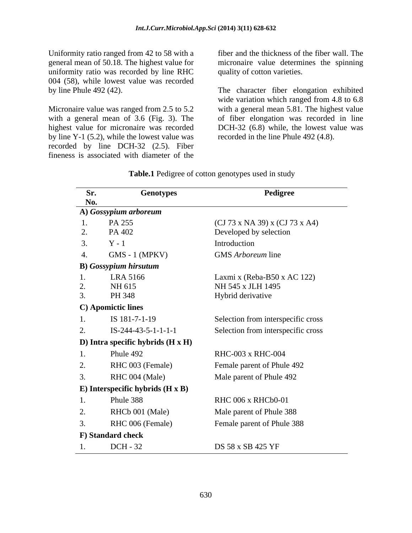Uniformity ratio ranged from 42 to 58 with a general mean of 50.18. The highest value for uniformity ratio was recorded by line RHC 004 (58), while lowest value was recorded<br>by line Phule  $492(42)$ .

Micronaire value was ranged from 2.5 to 5.2 highest value for micronaire was recorded by line Y-1 (5.2), while the lowest value was recorded by line DCH-32 (2.5). Fiber fineness is associated with diameter of the

fiber and the thickness of the fiber wall. The micronaire value determines the spinning quality of cotton varieties.

by line Phule 492 (42). The character fiber elongation exhibited with a general mean of 3.6 (Fig. 3). The of fiber elongation was recorded in line wide variation which ranged from 4.8 to 6.8 with a general mean 5.81. The highest value DCH-32 (6.8) while, the lowest value was recorded in the line Phule 492 (4.8).

| Sr. | <b>Genotypes</b>                        | Pedigree                           |
|-----|-----------------------------------------|------------------------------------|
| No. |                                         |                                    |
|     | A) Gossypium arboreum                   |                                    |
| 2.  | PA 255<br>PA 402                        | (CJ 73 x NA 39) x (CJ 73 x A4)     |
|     |                                         | Developed by selection             |
| 3.  | $Y - 1$                                 | Introduction                       |
| 4.  | $GMS - 1$ (MPKV)                        | GMS Arboreum line                  |
|     | <b>B</b> ) Gossypium hirsutum           |                                    |
| 1.  | LRA 5166                                | Laxmi x (Reba-B50 x AC 122)        |
| 2.  | NH 615                                  | NH 545 x JLH 1495                  |
| 3.  | PH 348                                  | Hybrid derivative                  |
|     | C) Apomictic lines                      |                                    |
| 1.  | IS 181-7-1-19                           | Selection from interspecific cross |
| 2.  | $IS-244-43-5-1-1-1-1$                   | Selection from interspecific cross |
|     | D) Intra specific hybrids (H x H)       |                                    |
| 1.  | Phule 492                               | <b>RHC-003 x RHC-004</b>           |
| 2.  | RHC 003 (Female)                        | Female parent of Phule 492         |
| 3.  | RHC 004 (Male)                          | Male parent of Phule 492           |
|     | E) Interspecific hybrids $(H \times B)$ |                                    |
| 1.  | Phule 388                               | RHC 006 x RHCb0-01                 |
|     |                                         |                                    |
| 2.  | RHCb 001 (Male)                         | Male parent of Phule 388           |
| 3.  | RHC 006 (Female)                        | Female parent of Phule 388         |
|     | F) Standard check                       |                                    |
|     | DCH - 32                                | DS 58 x SB 425 YF                  |

**Table.1** Pedigree of cotton genotypes used in study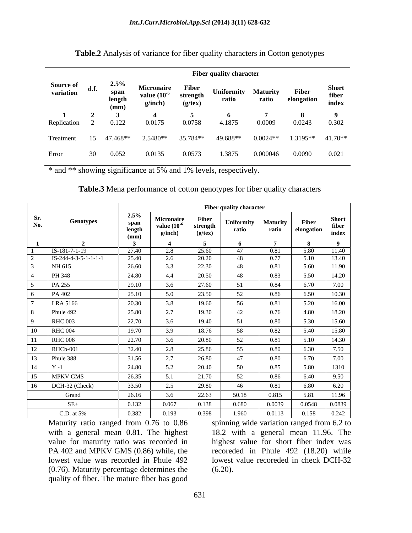|                                |      |                                | <b>Fiber quality character</b>                    |                                           |                     |                          |                     |                                |  |  |  |
|--------------------------------|------|--------------------------------|---------------------------------------------------|-------------------------------------------|---------------------|--------------------------|---------------------|--------------------------------|--|--|--|
| <b>Source of<br/>variation</b> | d.f. | 2.5%<br>span<br>length<br>(mm) | <b>Micronaire</b><br>value $(10^{-6})$<br>g/inch) | <b>Fiber</b><br>strength<br>$(g$ /tex $)$ | Uniformity<br>ratio | <b>Maturity</b><br>ratio | Fiber<br>elongation | <b>Short</b><br>fiber<br>index |  |  |  |
| Replication                    |      | 0.122                          | 0.0175                                            | 0.0758                                    | 4.1875              | 0.0009                   | 0.0243              | 0.302                          |  |  |  |
| Treatment                      | 15   | 47.468**                       | 2.5480**                                          | 35.784**                                  | 49.688**            | $0.0024**$               | $1.3195**$          | $41.70**$                      |  |  |  |
| Error                          | 30   | 0.052                          | 0.0135                                            | 0.0573                                    | 1.3875              | 0.000046                 | 0.0090              | 0.021                          |  |  |  |

**Table.2** Analysis of variance for fiber quality characters in Cotton genotypes

\* and \*\* showing significance at 5% and 1% levels, respectively.

| <b>Table.3</b> Mena performance of cotton genotypes for fiber of |  | c quality characters |  |
|------------------------------------------------------------------|--|----------------------|--|
|                                                                  |  |                      |  |

|            |                        | <b>Fiber quality character</b>    |                                           |                                    |                     |                          |                     |                                |
|------------|------------------------|-----------------------------------|-------------------------------------------|------------------------------------|---------------------|--------------------------|---------------------|--------------------------------|
| Sr.<br>No. | Genotypes              | $2.5\%$<br>span<br>length<br>(mm) | Micronaire<br>value $(10^{-6}$<br>g/inch) | Fiber<br>strength<br>$(g$ /tex $)$ | Uniformity<br>ratio | <b>Maturity</b><br>ratio | Fiber<br>elongation | <b>Short</b><br>fiber<br>index |
|            | $\rightarrow$          |                                   |                                           | $\mathbf{r}$                       |                     | $\overline{7}$           | - 8                 | $\overline{9}$                 |
|            | $IS-181-7-1-19$        | 27.40                             | 2.8                                       | 25.60                              | 47                  | 0.81                     | 5.80                | 11.40                          |
|            | $IS-244-4-3-5-1-1-1-1$ | 25.40                             | 2.6                                       | 20.20                              | -48                 | 0.77                     | 5.10                | 13.40                          |
|            | NH 615                 | 26.60                             | 3.3                                       | 22.30                              | 48                  | 0.81                     | 5.60                | 11.90                          |
|            | PH 348                 | 24.80                             | 4.4                                       | 20.50                              | 48                  | 0.83                     | 5.50                | 14.20                          |
|            | PA 255                 | 29.10                             | 3.6                                       | 27.60                              | 51                  | 0.84                     | 6.70                | 7.00                           |
|            | PA 402                 | 25.10                             | 5.0                                       | 23.50                              | 52                  | 0.86                     | 6.50                | 10.30                          |
|            | LRA 5166               | 20.30                             | 3.8                                       | 19.60                              | 56                  | 0.81                     | 5.20                | 16.00                          |
|            |                        |                                   | 27                                        |                                    |                     |                          |                     |                                |
|            | Phule 492              | 25.80                             |                                           | 19.30                              | 42                  | 0.76                     | 4.80                | 18.20                          |
|            | <b>RHC 003</b>         | 22.70                             | 3.6                                       | 19.40                              | 51                  | 0.80                     | 5.30                | 15.60                          |
| $\Omega$   | <b>RHC 004</b>         | 19.70                             | 3.9                                       | 18.76                              | 58                  | 0.82                     | 5.40                | 15.80                          |
|            | <b>RHC 006</b>         | 22.70                             | 3.6                                       | 20.80                              | 52                  | 0.81                     | 5.10                | 14.30                          |
|            | RHCb-001               | 32.40                             | 2.8                                       | 25.86                              | 55                  | 0.80                     | 6.30                | 7.50                           |
|            | Phule 388              | 31.56                             | 2.7                                       | 26.80                              | 47                  | $0.80\,$                 | 6.70                | 7.00                           |
|            | $Y - 1$                | 24.80                             | 5.2                                       | 20.40                              | -50                 | 0.85                     | 5.80                | 1310                           |
|            | MPKV GMS               | 26.35                             |                                           | 21.70                              | 52                  | 0.86                     | 6.40                | 9.50                           |
| 16         | DCH-32 (Check)         | 33.50                             | 2.5                                       | 29.80                              | 46                  | 0.81                     | 6.80                | 6.20                           |
|            | Grand                  | 26.16                             | 3.6                                       | 22.63                              | 50.18               | 0.815                    | 5.81                | 11.96                          |
|            | $SE_{\pm}$             | 0.132                             | 0.067                                     | 0.138                              | 0.680               | 0.0039                   | 0.0548              | 0.0839                         |
|            | C.D. at 5%             | 0.382                             | 0.193                                     | 0.398                              | 1.960               | 0.0113                   | 0.158               | 0.242                          |

(0.76). Maturity percentage determines the quality of fiber. The mature fiber has good

Maturity ratio ranged from 0.76 to 0.86 spinning wide variation ranged from 6.2 to with a general mean 0.81. The highest 18.2 with a general mean 11.96. The value for maturity ratio was recorded in highest value for short fiber index was PA 402 and MPKV GMS (0.86) while, the recoreded in Phule 492 (18.20) while lowest value was recorded in Phule 492 lowest value recoreded in check DCH-32  $(6.20)$ .